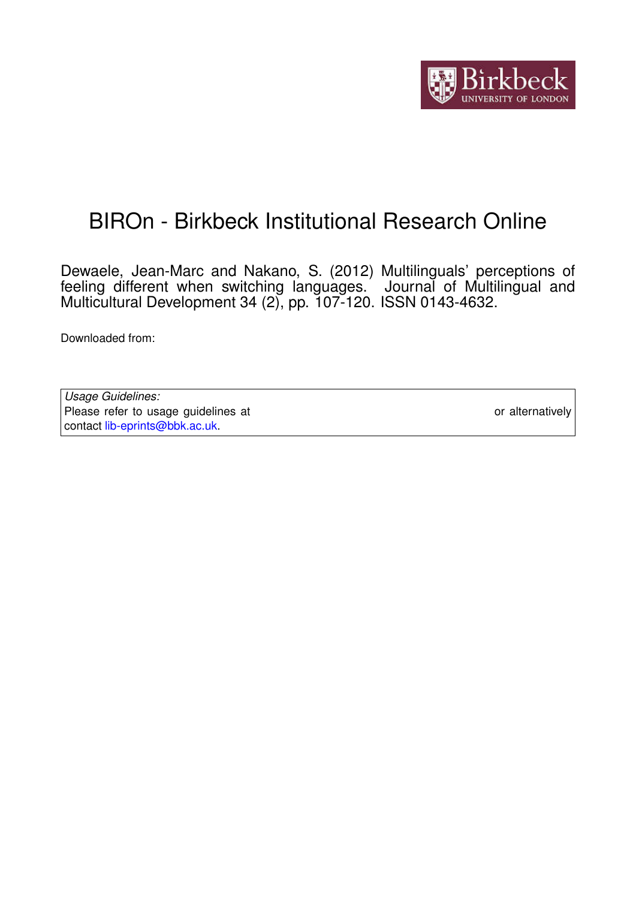

# BIROn - Birkbeck Institutional Research Online

Dewaele, Jean-Marc and Nakano, S. (2012) Multilinguals' perceptions of feeling different when switching languages. Journal of Multilingual and Multicultural Development 34 (2), pp. 107-120. ISSN 0143-4632.

Downloaded from: <https://eprints.bbk.ac.uk/id/eprint/5099/>

*Usage Guidelines:* Please refer to usage guidelines at <https://eprints.bbk.ac.uk/policies.html> or alternatively contact [lib-eprints@bbk.ac.uk.](mailto:lib-eprints@bbk.ac.uk)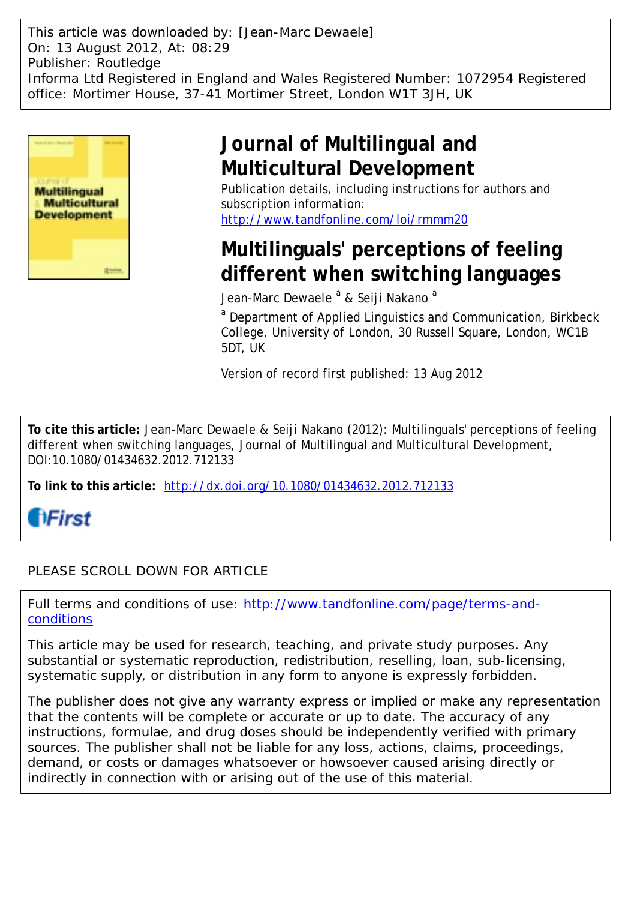This article was downloaded by: [Jean-Marc Dewaele] On: 13 August 2012, At: 08:29 Publisher: Routledge Informa Ltd Registered in England and Wales Registered Number: 1072954 Registered office: Mortimer House, 37-41 Mortimer Street, London W1T 3JH, UK



## **Journal of Multilingual and Multicultural Development**

Publication details, including instructions for authors and subscription information: <http://www.tandfonline.com/loi/rmmm20>

## **Multilinguals' perceptions of feeling different when switching languages**

Jean-Marc Dewaele <sup>a</sup> & Seiji Nakano <sup>a</sup>

<sup>a</sup> Department of Applied Linguistics and Communication, Birkbeck College, University of London, 30 Russell Square, London, WC1B 5DT, UK

Version of record first published: 13 Aug 2012

**To cite this article:** Jean-Marc Dewaele & Seiji Nakano (2012): Multilinguals' perceptions of feeling different when switching languages, Journal of Multilingual and Multicultural Development, DOI:10.1080/01434632.2012.712133

**To link to this article:** <http://dx.doi.org/10.1080/01434632.2012.712133>



### PLEASE SCROLL DOWN FOR ARTICLE

Full terms and conditions of use: [http://www.tandfonline.com/page/terms-and](http://www.tandfonline.com/page/terms-and-conditions)[conditions](http://www.tandfonline.com/page/terms-and-conditions)

This article may be used for research, teaching, and private study purposes. Any substantial or systematic reproduction, redistribution, reselling, loan, sub-licensing, systematic supply, or distribution in any form to anyone is expressly forbidden.

The publisher does not give any warranty express or implied or make any representation that the contents will be complete or accurate or up to date. The accuracy of any instructions, formulae, and drug doses should be independently verified with primary sources. The publisher shall not be liable for any loss, actions, claims, proceedings, demand, or costs or damages whatsoever or howsoever caused arising directly or indirectly in connection with or arising out of the use of this material.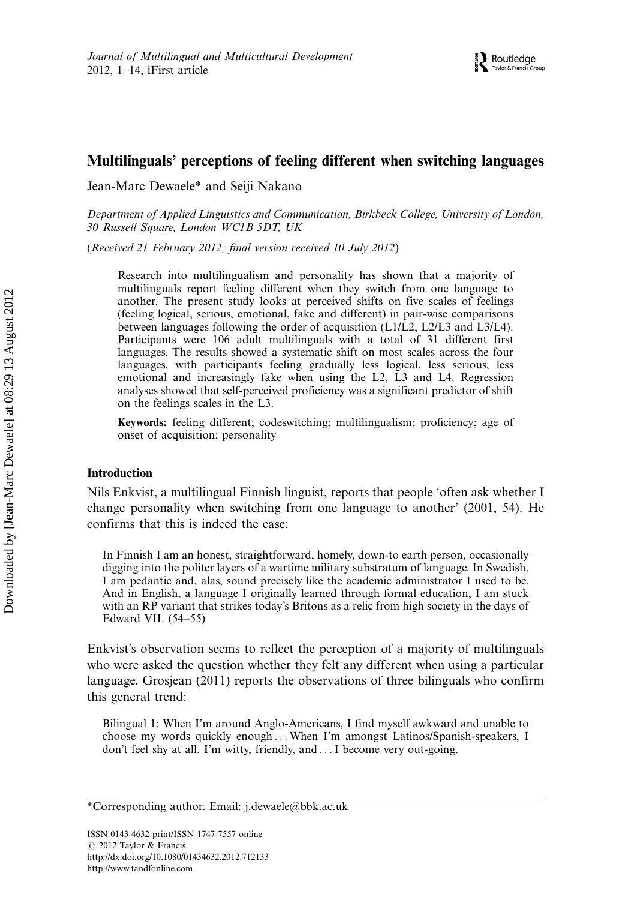### Multilinguals' perceptions of feeling different when switching languages

Jean-Marc Dewaele\* and Seiji Nakano

Department of Applied Linguistics and Communication, Birkbeck College, University of London, 30 Russell Square, London WC1B 5DT, UK

(Received 21 February 2012; final version received 10 July 2012)

Research into multilingualism and personality has shown that a majority of multilinguals report feeling different when they switch from one language to another. The present study looks at perceived shifts on five scales of feelings (feeling logical, serious, emotional, fake and different) in pair-wise comparisons between languages following the order of acquisition (L1/L2, L2/L3 and L3/L4). Participants were 106 adult multilinguals with a total of 31 different first languages. The results showed a systematic shift on most scales across the four languages, with participants feeling gradually less logical, less serious, less emotional and increasingly fake when using the L2, L3 and L4. Regression analyses showed that self-perceived proficiency was a significant predictor of shift on the feelings scales in the L3.

Keywords: feeling different; codeswitching; multilingualism; proficiency; age of onset of acquisition; personality

#### Introduction

Nils Enkvist, a multilingual Finnish linguist, reports that people 'often ask whether I change personality when switching from one language to another' (2001, 54). He confirms that this is indeed the case:

In Finnish I am an honest, straightforward, homely, down-to earth person, occasionally digging into the politer layers of a wartime military substratum of language. In Swedish, I am pedantic and, alas, sound precisely like the academic administrator I used to be. And in English, a language I originally learned through formal education, I am stuck with an RP variant that strikes today's Britons as a relic from high society in the days of Edward VII.  $(54–55)$ 

Enkvist's observation seems to reflect the perception of a majority of multilinguals who were asked the question whether they felt any different when using a particular language. Grosjean (2011) reports the observations of three bilinguals who confirm this general trend:

Bilingual 1: When I'm around Anglo-Americans, I find myself awkward and unable to choose my words quickly enough ... When I'm amongst Latinos/Spanish-speakers, I don't feel shy at all. I'm witty, friendly, and ...I become very out-going.

<sup>\*</sup>Corresponding author. Email: j.dewaele@bbk.ac.uk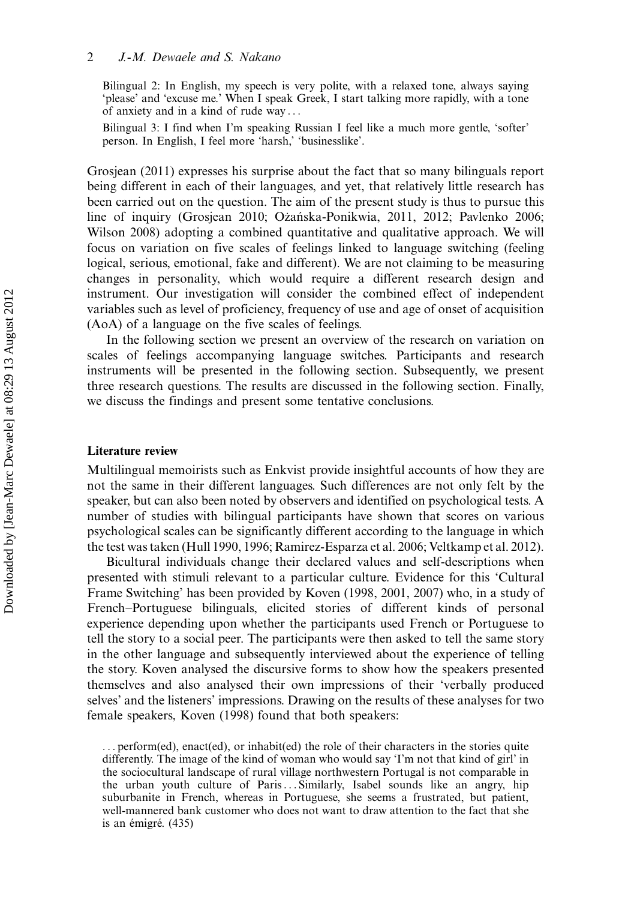#### 2 J.-M. Dewaele and S. Nakano

Bilingual 2: In English, my speech is very polite, with a relaxed tone, always saying 'please' and 'excuse me.' When I speak Greek, I start talking more rapidly, with a tone of anxiety and in a kind of rude way ...

Bilingual 3: I find when I'm speaking Russian I feel like a much more gentle, 'softer' person. In English, I feel more 'harsh,' 'businesslike'.

Grosjean (2011) expresses his surprise about the fact that so many bilinguals report being different in each of their languages, and yet, that relatively little research has been carried out on the question. The aim of the present study is thus to pursue this line of inquiry (Grosjean 2010; Ożańska-Ponikwia, 2011, 2012; Pavlenko 2006; Wilson 2008) adopting a combined quantitative and qualitative approach. We will focus on variation on five scales of feelings linked to language switching (feeling logical, serious, emotional, fake and different). We are not claiming to be measuring changes in personality, which would require a different research design and instrument. Our investigation will consider the combined effect of independent variables such as level of proficiency, frequency of use and age of onset of acquisition (AoA) of a language on the five scales of feelings.

In the following section we present an overview of the research on variation on scales of feelings accompanying language switches. Participants and research instruments will be presented in the following section. Subsequently, we present three research questions. The results are discussed in the following section. Finally, we discuss the findings and present some tentative conclusions.

#### Literature review

Multilingual memoirists such as Enkvist provide insightful accounts of how they are not the same in their different languages. Such differences are not only felt by the speaker, but can also been noted by observers and identified on psychological tests. A number of studies with bilingual participants have shown that scores on various psychological scales can be significantly different according to the language in which the test was taken (Hull 1990, 1996; Ramirez-Esparza et al. 2006; Veltkamp et al. 2012).

Bicultural individuals change their declared values and self-descriptions when presented with stimuli relevant to a particular culture. Evidence for this 'Cultural Frame Switching' has been provided by Koven (1998, 2001, 2007) who, in a study of French-Portuguese bilinguals, elicited stories of different kinds of personal experience depending upon whether the participants used French or Portuguese to tell the story to a social peer. The participants were then asked to tell the same story in the other language and subsequently interviewed about the experience of telling the story. Koven analysed the discursive forms to show how the speakers presented themselves and also analysed their own impressions of their 'verbally produced selves' and the listeners' impressions. Drawing on the results of these analyses for two female speakers, Koven (1998) found that both speakers:

... perform(ed), enact(ed), or inhabit(ed) the role of their characters in the stories quite differently. The image of the kind of woman who would say 'I'm not that kind of girl' in the sociocultural landscape of rural village northwestern Portugal is not comparable in the urban youth culture of Paris... Similarly, Isabel sounds like an angry, hip suburbanite in French, whereas in Portuguese, she seems a frustrated, but patient, well-mannered bank customer who does not want to draw attention to the fact that she is an émigré. (435)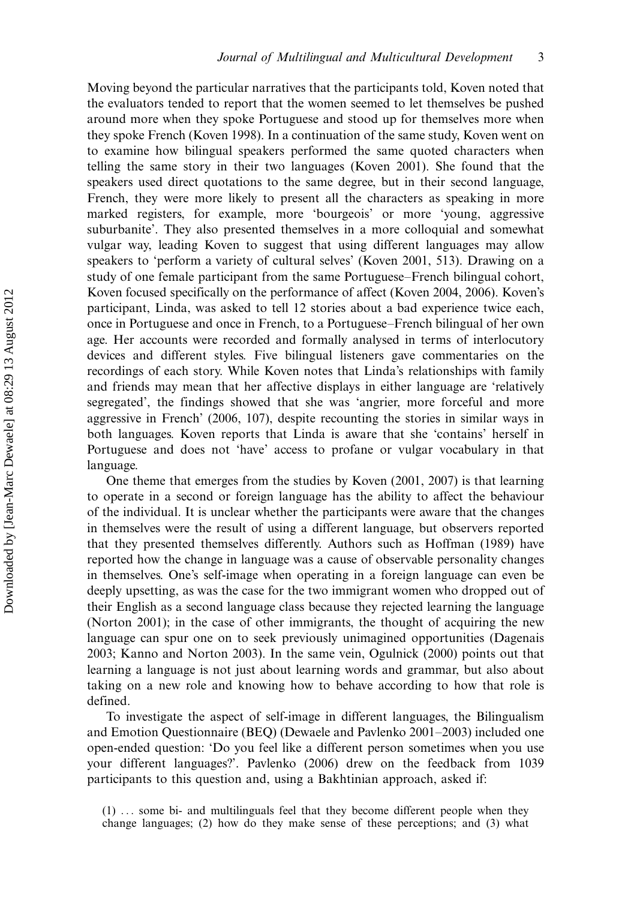Moving beyond the particular narratives that the participants told, Koven noted that the evaluators tended to report that the women seemed to let themselves be pushed around more when they spoke Portuguese and stood up for themselves more when they spoke French (Koven 1998). In a continuation of the same study, Koven went on to examine how bilingual speakers performed the same quoted characters when telling the same story in their two languages (Koven 2001). She found that the speakers used direct quotations to the same degree, but in their second language, French, they were more likely to present all the characters as speaking in more marked registers, for example, more 'bourgeois' or more 'young, aggressive suburbanite'. They also presented themselves in a more colloquial and somewhat vulgar way, leading Koven to suggest that using different languages may allow speakers to 'perform a variety of cultural selves' (Koven 2001, 513). Drawing on a study of one female participant from the same Portuguese–French bilingual cohort, Koven focused specifically on the performance of affect (Koven 2004, 2006). Koven's participant, Linda, was asked to tell 12 stories about a bad experience twice each, once in Portuguese and once in French, to a Portuguese–French bilingual of her own age. Her accounts were recorded and formally analysed in terms of interlocutory devices and different styles. Five bilingual listeners gave commentaries on the recordings of each story. While Koven notes that Linda's relationships with family and friends may mean that her affective displays in either language are 'relatively segregated', the findings showed that she was 'angrier, more forceful and more aggressive in French' (2006, 107), despite recounting the stories in similar ways in both languages. Koven reports that Linda is aware that she 'contains' herself in Portuguese and does not 'have' access to profane or vulgar vocabulary in that language.

One theme that emerges from the studies by Koven (2001, 2007) is that learning to operate in a second or foreign language has the ability to affect the behaviour of the individual. It is unclear whether the participants were aware that the changes in themselves were the result of using a different language, but observers reported that they presented themselves differently. Authors such as Hoffman (1989) have reported how the change in language was a cause of observable personality changes in themselves. One's self-image when operating in a foreign language can even be deeply upsetting, as was the case for the two immigrant women who dropped out of their English as a second language class because they rejected learning the language (Norton 2001); in the case of other immigrants, the thought of acquiring the new language can spur one on to seek previously unimagined opportunities (Dagenais 2003; Kanno and Norton 2003). In the same vein, Ogulnick (2000) points out that learning a language is not just about learning words and grammar, but also about taking on a new role and knowing how to behave according to how that role is defined.

To investigate the aspect of self-image in different languages, the Bilingualism and Emotion Questionnaire (BEQ) (Dewaele and Pavlenko  $2001-2003$ ) included one open-ended question: 'Do you feel like a different person sometimes when you use your different languages?'. Pavlenko (2006) drew on the feedback from 1039 participants to this question and, using a Bakhtinian approach, asked if:

<sup>(1)</sup> ... some bi- and multilinguals feel that they become different people when they change languages; (2) how do they make sense of these perceptions; and (3) what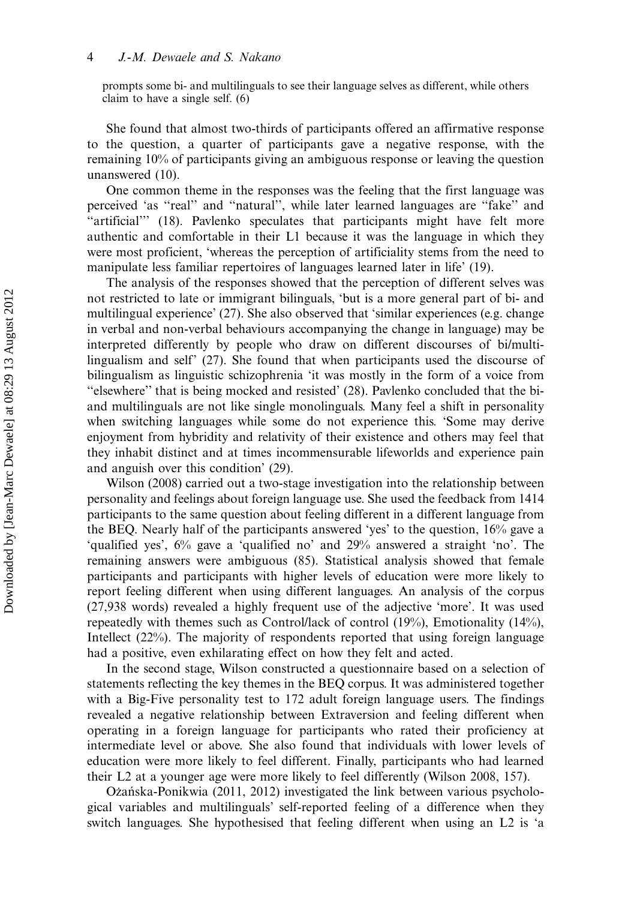prompts some bi- and multilinguals to see their language selves as different, while others claim to have a single self. (6)

She found that almost two-thirds of participants offered an affirmative response to the question, a quarter of participants gave a negative response, with the remaining 10% of participants giving an ambiguous response or leaving the question unanswered (10).

One common theme in the responses was the feeling that the first language was perceived 'as "real" and "natural", while later learned languages are "fake" and ''artificial''' (18). Pavlenko speculates that participants might have felt more authentic and comfortable in their L1 because it was the language in which they were most proficient, 'whereas the perception of artificiality stems from the need to manipulate less familiar repertoires of languages learned later in life' (19).

The analysis of the responses showed that the perception of different selves was not restricted to late or immigrant bilinguals, 'but is a more general part of bi- and multilingual experience' (27). She also observed that 'similar experiences (e.g. change in verbal and non-verbal behaviours accompanying the change in language) may be interpreted differently by people who draw on different discourses of bi/multilingualism and self' (27). She found that when participants used the discourse of bilingualism as linguistic schizophrenia 'it was mostly in the form of a voice from ''elsewhere'' that is being mocked and resisted' (28). Pavlenko concluded that the biand multilinguals are not like single monolinguals. Many feel a shift in personality when switching languages while some do not experience this. 'Some may derive enjoyment from hybridity and relativity of their existence and others may feel that they inhabit distinct and at times incommensurable lifeworlds and experience pain and anguish over this condition' (29).

Wilson (2008) carried out a two-stage investigation into the relationship between personality and feelings about foreign language use. She used the feedback from 1414 participants to the same question about feeling different in a different language from the BEQ. Nearly half of the participants answered 'yes' to the question, 16% gave a 'qualified yes', 6% gave a 'qualified no' and 29% answered a straight 'no'. The remaining answers were ambiguous (85). Statistical analysis showed that female participants and participants with higher levels of education were more likely to report feeling different when using different languages. An analysis of the corpus (27,938 words) revealed a highly frequent use of the adjective 'more'. It was used repeatedly with themes such as Control/lack of control (19%), Emotionality (14%), Intellect (22%). The majority of respondents reported that using foreign language had a positive, even exhilarating effect on how they felt and acted.

In the second stage, Wilson constructed a questionnaire based on a selection of statements reflecting the key themes in the BEQ corpus. It was administered together with a Big-Five personality test to 172 adult foreign language users. The findings revealed a negative relationship between Extraversion and feeling different when operating in a foreign language for participants who rated their proficiency at intermediate level or above. She also found that individuals with lower levels of education were more likely to feel different. Finally, participants who had learned their L2 at a younger age were more likely to feel differently (Wilson 2008, 157).

Ozańska-Ponikwia (2011, 2012) investigated the link between various psychological variables and multilinguals' self-reported feeling of a difference when they switch languages. She hypothesised that feeling different when using an L2 is 'a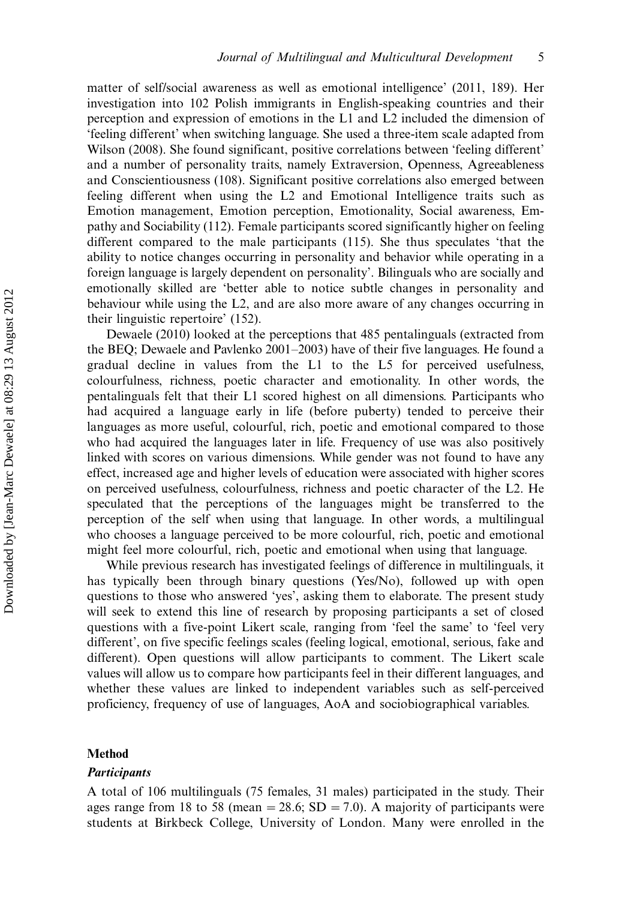matter of self/social awareness as well as emotional intelligence' (2011, 189). Her investigation into 102 Polish immigrants in English-speaking countries and their perception and expression of emotions in the L1 and L2 included the dimension of 'feeling different' when switching language. She used a three-item scale adapted from Wilson (2008). She found significant, positive correlations between 'feeling different' and a number of personality traits, namely Extraversion, Openness, Agreeableness and Conscientiousness (108). Significant positive correlations also emerged between feeling different when using the L2 and Emotional Intelligence traits such as Emotion management, Emotion perception, Emotionality, Social awareness, Empathy and Sociability (112). Female participants scored significantly higher on feeling different compared to the male participants (115). She thus speculates 'that the ability to notice changes occurring in personality and behavior while operating in a foreign language is largely dependent on personality'. Bilinguals who are socially and emotionally skilled are 'better able to notice subtle changes in personality and behaviour while using the L2, and are also more aware of any changes occurring in their linguistic repertoire' (152).

Dewaele (2010) looked at the perceptions that 485 pentalinguals (extracted from the BEQ; Dewaele and Pavlenko  $2001-2003$ ) have of their five languages. He found a gradual decline in values from the L1 to the L5 for perceived usefulness, colourfulness, richness, poetic character and emotionality. In other words, the pentalinguals felt that their L1 scored highest on all dimensions. Participants who had acquired a language early in life (before puberty) tended to perceive their languages as more useful, colourful, rich, poetic and emotional compared to those who had acquired the languages later in life. Frequency of use was also positively linked with scores on various dimensions. While gender was not found to have any effect, increased age and higher levels of education were associated with higher scores on perceived usefulness, colourfulness, richness and poetic character of the L2. He speculated that the perceptions of the languages might be transferred to the perception of the self when using that language. In other words, a multilingual who chooses a language perceived to be more colourful, rich, poetic and emotional might feel more colourful, rich, poetic and emotional when using that language.

While previous research has investigated feelings of difference in multilinguals, it has typically been through binary questions (Yes/No), followed up with open questions to those who answered 'yes', asking them to elaborate. The present study will seek to extend this line of research by proposing participants a set of closed questions with a five-point Likert scale, ranging from 'feel the same' to 'feel very different', on five specific feelings scales (feeling logical, emotional, serious, fake and different). Open questions will allow participants to comment. The Likert scale values will allow us to compare how participants feel in their different languages, and whether these values are linked to independent variables such as self-perceived proficiency, frequency of use of languages, AoA and sociobiographical variables.

#### Method

#### **Participants**

A total of 106 multilinguals (75 females, 31 males) participated in the study. Their ages range from 18 to 58 (mean  $=$  28.6; SD  $=$  7.0). A majority of participants were students at Birkbeck College, University of London. Many were enrolled in the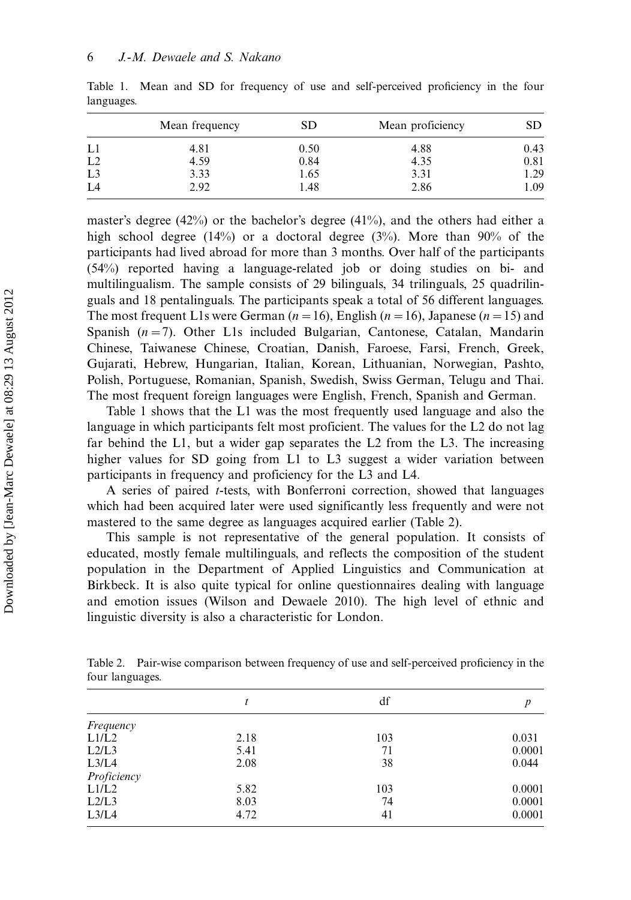|                | Mean frequency | SD   | Mean proficiency | SD   |
|----------------|----------------|------|------------------|------|
| L1             | 4.81           | 0.50 | 4.88             | 0.43 |
| L2             | 4.59           | 0.84 | 4.35             | 0.81 |
| L <sub>3</sub> | 3.33           | 1.65 | 3.31             | 1.29 |
| L4             | 2.92           | 1.48 | 2.86             | 1.09 |

Table 1. Mean and SD for frequency of use and self-perceived proficiency in the four languages.

master's degree (42%) or the bachelor's degree (41%), and the others had either a high school degree (14%) or a doctoral degree (3%). More than 90% of the participants had lived abroad for more than 3 months. Over half of the participants (54%) reported having a language-related job or doing studies on bi- and multilingualism. The sample consists of 29 bilinguals, 34 trilinguals, 25 quadrilinguals and 18 pentalinguals. The participants speak a total of 56 different languages. The most frequent L1s were German ( $n = 16$ ), English ( $n = 16$ ), Japanese ( $n = 15$ ) and Spanish  $(n=7)$ . Other L1s included Bulgarian, Cantonese, Catalan, Mandarin Chinese, Taiwanese Chinese, Croatian, Danish, Faroese, Farsi, French, Greek, Gujarati, Hebrew, Hungarian, Italian, Korean, Lithuanian, Norwegian, Pashto, Polish, Portuguese, Romanian, Spanish, Swedish, Swiss German, Telugu and Thai. The most frequent foreign languages were English, French, Spanish and German.

Table 1 shows that the L1 was the most frequently used language and also the language in which participants felt most proficient. The values for the L2 do not lag far behind the L1, but a wider gap separates the L2 from the L3. The increasing higher values for SD going from L1 to L3 suggest a wider variation between participants in frequency and proficiency for the L3 and L4.

A series of paired t-tests, with Bonferroni correction, showed that languages which had been acquired later were used significantly less frequently and were not mastered to the same degree as languages acquired earlier (Table 2).

This sample is not representative of the general population. It consists of educated, mostly female multilinguals, and reflects the composition of the student population in the Department of Applied Linguistics and Communication at Birkbeck. It is also quite typical for online questionnaires dealing with language and emotion issues (Wilson and Dewaele 2010). The high level of ethnic and linguistic diversity is also a characteristic for London.

Table 2. Pair-wise comparison between frequency of use and self-perceived proficiency in the four languages.

|             |      | df  | p      |
|-------------|------|-----|--------|
| Frequency   |      |     |        |
| L1/L2       | 2.18 | 103 | 0.031  |
| L2/L3       | 5.41 | 71  | 0.0001 |
| L3/L4       | 2.08 | 38  | 0.044  |
| Proficiency |      |     |        |
| L1/L2       | 5.82 | 103 | 0.0001 |
| L2/L3       | 8.03 | 74  | 0.0001 |
| L3/L4       | 4.72 | 41  | 0.0001 |
|             |      |     |        |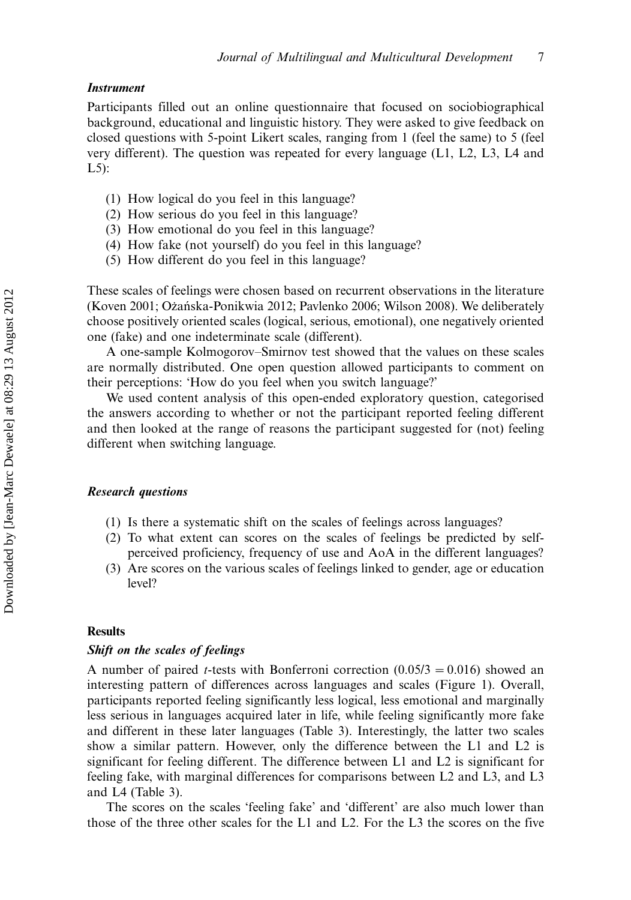#### **Instrument**

Participants filled out an online questionnaire that focused on sociobiographical background, educational and linguistic history. They were asked to give feedback on closed questions with 5-point Likert scales, ranging from 1 (feel the same) to 5 (feel very different). The question was repeated for every language (L1, L2, L3, L4 and L5):

- (1) How logical do you feel in this language?
- (2) How serious do you feel in this language?
- (3) How emotional do you feel in this language?
- (4) How fake (not yourself) do you feel in this language?
- (5) How different do you feel in this language?

These scales of feelings were chosen based on recurrent observations in the literature (Koven 2001; Ożańska-Ponikwia 2012; Pavlenko 2006; Wilson 2008). We deliberately choose positively oriented scales (logical, serious, emotional), one negatively oriented one (fake) and one indeterminate scale (different).

A one-sample Kolmogorov-Smirnov test showed that the values on these scales are normally distributed. One open question allowed participants to comment on their perceptions: 'How do you feel when you switch language?'

We used content analysis of this open-ended exploratory question, categorised the answers according to whether or not the participant reported feeling different and then looked at the range of reasons the participant suggested for (not) feeling different when switching language.

#### Research questions

- (1) Is there a systematic shift on the scales of feelings across languages?
- (2) To what extent can scores on the scales of feelings be predicted by selfperceived proficiency, frequency of use and AoA in the different languages?
- (3) Are scores on the various scales of feelings linked to gender, age or education level?

#### **Results**

#### Shift on the scales of feelings

A number of paired *t*-tests with Bonferroni correction  $(0.05/3 = 0.016)$  showed an interesting pattern of differences across languages and scales (Figure 1). Overall, participants reported feeling significantly less logical, less emotional and marginally less serious in languages acquired later in life, while feeling significantly more fake and different in these later languages (Table 3). Interestingly, the latter two scales show a similar pattern. However, only the difference between the L1 and L2 is significant for feeling different. The difference between L1 and L2 is significant for feeling fake, with marginal differences for comparisons between L2 and L3, and L3 and L4 (Table 3).

The scores on the scales 'feeling fake' and 'different' are also much lower than those of the three other scales for the L1 and L2. For the L3 the scores on the five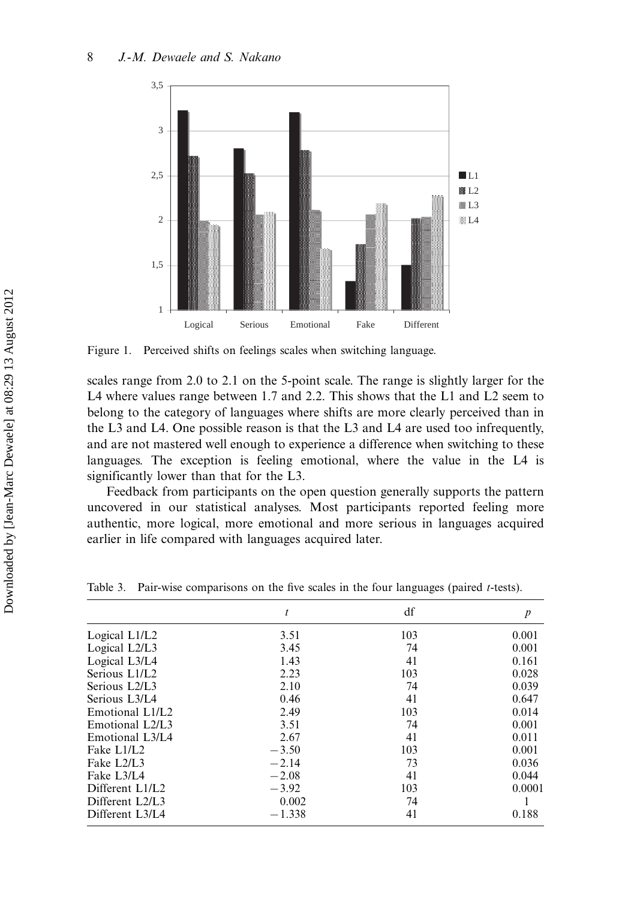

Figure 1. Perceived shifts on feelings scales when switching language.

scales range from 2.0 to 2.1 on the 5-point scale. The range is slightly larger for the L4 where values range between 1.7 and 2.2. This shows that the L1 and L2 seem to belong to the category of languages where shifts are more clearly perceived than in the L3 and L4. One possible reason is that the L3 and L4 are used too infrequently, and are not mastered well enough to experience a difference when switching to these languages. The exception is feeling emotional, where the value in the L4 is significantly lower than that for the L3.

Feedback from participants on the open question generally supports the pattern uncovered in our statistical analyses. Most participants reported feeling more authentic, more logical, more emotional and more serious in languages acquired earlier in life compared with languages acquired later.

|                 | t        | df  | $\boldsymbol{p}$ |
|-----------------|----------|-----|------------------|
| Logical L1/L2   | 3.51     | 103 | 0.001            |
| Logical L2/L3   | 3.45     | 74  | 0.001            |
| Logical L3/L4   | 1.43     | 41  | 0.161            |
| Serious L1/L2   | 2.23     | 103 | 0.028            |
| Serious L2/L3   | 2.10     | 74  | 0.039            |
| Serious L3/L4   | 0.46     | 41  | 0.647            |
| Emotional L1/L2 | 2.49     | 103 | 0.014            |
| Emotional L2/L3 | 3.51     | 74  | 0.001            |
| Emotional L3/L4 | 2.67     | 41  | 0.011            |
| Fake L1/L2      | $-3.50$  | 103 | 0.001            |
| Fake L2/L3      | $-2.14$  | 73  | 0.036            |
| Fake L3/L4      | $-2.08$  | 41  | 0.044            |
| Different L1/L2 | $-3.92$  | 103 | 0.0001           |
| Different L2/L3 | 0.002    | 74  |                  |
| Different L3/L4 | $-1.338$ | 41  | 0.188            |

Table 3. Pair-wise comparisons on the five scales in the four languages (paired t-tests).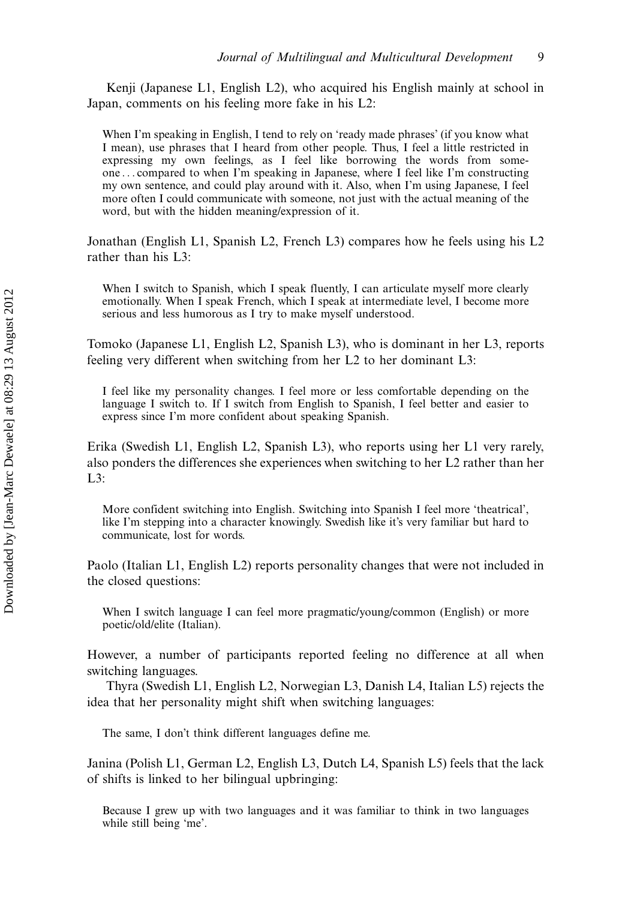Kenji (Japanese L1, English L2), who acquired his English mainly at school in Japan, comments on his feeling more fake in his L2:

When I'm speaking in English, I tend to rely on 'ready made phrases' (if you know what I mean), use phrases that I heard from other people. Thus, I feel a little restricted in expressing my own feelings, as I feel like borrowing the words from someone ... compared to when I'm speaking in Japanese, where I feel like I'm constructing my own sentence, and could play around with it. Also, when I'm using Japanese, I feel more often I could communicate with someone, not just with the actual meaning of the word, but with the hidden meaning/expression of it.

Jonathan (English L1, Spanish L2, French L3) compares how he feels using his L2 rather than his L3:

When I switch to Spanish, which I speak fluently, I can articulate myself more clearly emotionally. When I speak French, which I speak at intermediate level, I become more serious and less humorous as I try to make myself understood.

Tomoko (Japanese L1, English L2, Spanish L3), who is dominant in her L3, reports feeling very different when switching from her L2 to her dominant L3:

I feel like my personality changes. I feel more or less comfortable depending on the language I switch to. If I switch from English to Spanish, I feel better and easier to express since I'm more confident about speaking Spanish.

Erika (Swedish L1, English L2, Spanish L3), who reports using her L1 very rarely, also ponders the differences she experiences when switching to her L2 rather than her  $L3$ :

More confident switching into English. Switching into Spanish I feel more 'theatrical', like I'm stepping into a character knowingly. Swedish like it's very familiar but hard to communicate, lost for words.

Paolo (Italian L1, English L2) reports personality changes that were not included in the closed questions:

When I switch language I can feel more pragmatic/young/common (English) or more poetic/old/elite (Italian).

However, a number of participants reported feeling no difference at all when switching languages.

Thyra (Swedish L1, English L2, Norwegian L3, Danish L4, Italian L5) rejects the idea that her personality might shift when switching languages:

The same, I don't think different languages define me.

Janina (Polish L1, German L2, English L3, Dutch L4, Spanish L5) feels that the lack of shifts is linked to her bilingual upbringing:

Because I grew up with two languages and it was familiar to think in two languages while still being 'me'.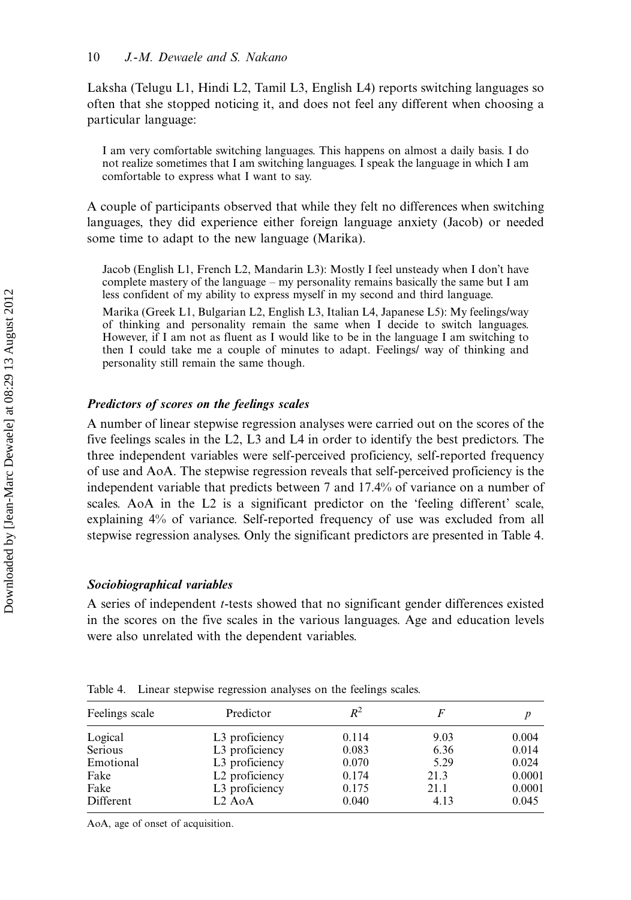Laksha (Telugu L1, Hindi L2, Tamil L3, English L4) reports switching languages so often that she stopped noticing it, and does not feel any different when choosing a particular language:

I am very comfortable switching languages. This happens on almost a daily basis. I do not realize sometimes that I am switching languages. I speak the language in which I am comfortable to express what I want to say.

A couple of participants observed that while they felt no differences when switching languages, they did experience either foreign language anxiety (Jacob) or needed some time to adapt to the new language (Marika).

Jacob (English L1, French L2, Mandarin L3): Mostly I feel unsteady when I don't have complete mastery of the language  $-$  my personality remains basically the same but I am less confident of my ability to express myself in my second and third language.

Marika (Greek L1, Bulgarian L2, English L3, Italian L4, Japanese L5): My feelings/way of thinking and personality remain the same when I decide to switch languages. However, if I am not as fluent as I would like to be in the language I am switching to then I could take me a couple of minutes to adapt. Feelings/ way of thinking and personality still remain the same though.

#### Predictors of scores on the feelings scales

A number of linear stepwise regression analyses were carried out on the scores of the five feelings scales in the L2, L3 and L4 in order to identify the best predictors. The three independent variables were self-perceived proficiency, self-reported frequency of use and AoA. The stepwise regression reveals that self-perceived proficiency is the independent variable that predicts between 7 and 17.4% of variance on a number of scales. AoA in the L2 is a significant predictor on the 'feeling different' scale, explaining 4% of variance. Self-reported frequency of use was excluded from all stepwise regression analyses. Only the significant predictors are presented in Table 4.

#### Sociobiographical variables

A series of independent t-tests showed that no significant gender differences existed in the scores on the five scales in the various languages. Age and education levels were also unrelated with the dependent variables.

| Feelings scale | Predictor                       | $R^2$ | F    |        |
|----------------|---------------------------------|-------|------|--------|
| Logical        | L3 proficiency                  | 0.114 | 9.03 | 0.004  |
| Serious        | L3 proficiency                  | 0.083 | 6.36 | 0.014  |
| Emotional      | L3 proficiency                  | 0.070 | 5.29 | 0.024  |
| Fake           | L <sub>2</sub> proficiency      | 0.174 | 21.3 | 0.0001 |
| Fake           | L3 proficiency                  | 0.175 | 21.1 | 0.0001 |
| Different      | L <sub>2</sub> A <sub>o</sub> A | 0.040 | 4.13 | 0.045  |

Table 4. Linear stepwise regression analyses on the feelings scales.

AoA, age of onset of acquisition.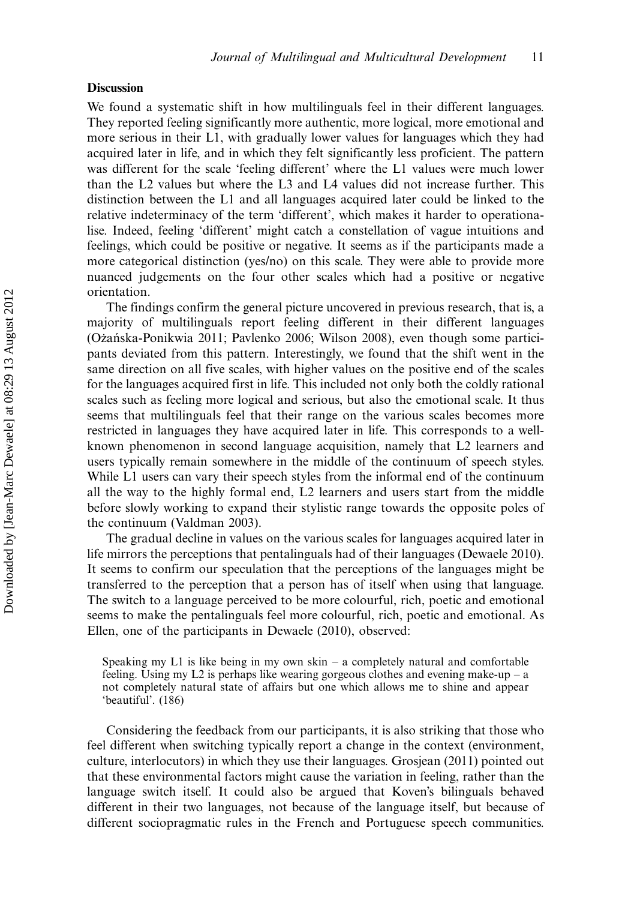#### **Discussion**

We found a systematic shift in how multilinguals feel in their different languages. They reported feeling significantly more authentic, more logical, more emotional and more serious in their L1, with gradually lower values for languages which they had acquired later in life, and in which they felt significantly less proficient. The pattern was different for the scale 'feeling different' where the L1 values were much lower than the L2 values but where the L3 and L4 values did not increase further. This distinction between the L1 and all languages acquired later could be linked to the relative indeterminacy of the term 'different', which makes it harder to operationalise. Indeed, feeling 'different' might catch a constellation of vague intuitions and feelings, which could be positive or negative. It seems as if the participants made a more categorical distinction (yes/no) on this scale. They were able to provide more nuanced judgements on the four other scales which had a positive or negative orientation.

The findings confirm the general picture uncovered in previous research, that is, a majority of multilinguals report feeling different in their different languages (Oz˙an´ska-Ponikwia 2011; Pavlenko 2006; Wilson 2008), even though some participants deviated from this pattern. Interestingly, we found that the shift went in the same direction on all five scales, with higher values on the positive end of the scales for the languages acquired first in life. This included not only both the coldly rational scales such as feeling more logical and serious, but also the emotional scale. It thus seems that multilinguals feel that their range on the various scales becomes more restricted in languages they have acquired later in life. This corresponds to a wellknown phenomenon in second language acquisition, namely that L2 learners and users typically remain somewhere in the middle of the continuum of speech styles. While L1 users can vary their speech styles from the informal end of the continuum all the way to the highly formal end, L2 learners and users start from the middle before slowly working to expand their stylistic range towards the opposite poles of the continuum (Valdman 2003).

The gradual decline in values on the various scales for languages acquired later in life mirrors the perceptions that pentalinguals had of their languages (Dewaele 2010). It seems to confirm our speculation that the perceptions of the languages might be transferred to the perception that a person has of itself when using that language. The switch to a language perceived to be more colourful, rich, poetic and emotional seems to make the pentalinguals feel more colourful, rich, poetic and emotional. As Ellen, one of the participants in Dewaele (2010), observed:

Considering the feedback from our participants, it is also striking that those who feel different when switching typically report a change in the context (environment, culture, interlocutors) in which they use their languages. Grosjean (2011) pointed out that these environmental factors might cause the variation in feeling, rather than the language switch itself. It could also be argued that Koven's bilinguals behaved different in their two languages, not because of the language itself, but because of different sociopragmatic rules in the French and Portuguese speech communities.

Speaking my  $L1$  is like being in my own skin  $-$  a completely natural and comfortable feeling. Using my L2 is perhaps like wearing gorgeous clothes and evening make-up  $-$  a not completely natural state of affairs but one which allows me to shine and appear 'beautiful'. (186)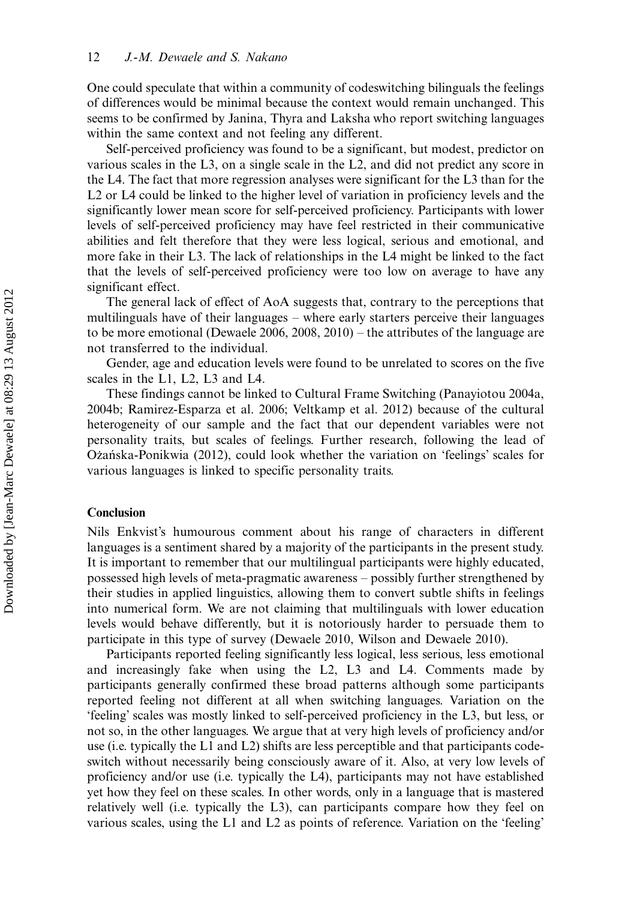One could speculate that within a community of codeswitching bilinguals the feelings of differences would be minimal because the context would remain unchanged. This seems to be confirmed by Janina, Thyra and Laksha who report switching languages within the same context and not feeling any different.

Self-perceived proficiency was found to be a significant, but modest, predictor on various scales in the L3, on a single scale in the L2, and did not predict any score in the L4. The fact that more regression analyses were significant for the L3 than for the L<sub>2</sub> or L<sub>4</sub> could be linked to the higher level of variation in proficiency levels and the significantly lower mean score for self-perceived proficiency. Participants with lower levels of self-perceived proficiency may have feel restricted in their communicative abilities and felt therefore that they were less logical, serious and emotional, and more fake in their L3. The lack of relationships in the L4 might be linked to the fact that the levels of self-perceived proficiency were too low on average to have any significant effect.

The general lack of effect of AoA suggests that, contrary to the perceptions that multilinguals have of their languages - where early starters perceive their languages to be more emotional (Dewaele  $2006, 2008, 2010$ ) – the attributes of the language are not transferred to the individual.

Gender, age and education levels were found to be unrelated to scores on the five scales in the L1, L2, L3 and L4.

These findings cannot be linked to Cultural Frame Switching (Panayiotou 2004a, 2004b; Ramirez-Esparza et al. 2006; Veltkamp et al. 2012) because of the cultural heterogeneity of our sample and the fact that our dependent variables were not personality traits, but scales of feelings. Further research, following the lead of Ozańska-Ponikwia (2012), could look whether the variation on 'feelings' scales for various languages is linked to specific personality traits.

#### Conclusion

Nils Enkvist's humourous comment about his range of characters in different languages is a sentiment shared by a majority of the participants in the present study. It is important to remember that our multilingual participants were highly educated, possessed high levels of meta-pragmatic awareness possibly further strengthened by their studies in applied linguistics, allowing them to convert subtle shifts in feelings into numerical form. We are not claiming that multilinguals with lower education levels would behave differently, but it is notoriously harder to persuade them to participate in this type of survey (Dewaele 2010, Wilson and Dewaele 2010).

Participants reported feeling significantly less logical, less serious, less emotional and increasingly fake when using the L2, L3 and L4. Comments made by participants generally confirmed these broad patterns although some participants reported feeling not different at all when switching languages. Variation on the 'feeling' scales was mostly linked to self-perceived proficiency in the L3, but less, or not so, in the other languages. We argue that at very high levels of proficiency and/or use (i.e. typically the L1 and L2) shifts are less perceptible and that participants codeswitch without necessarily being consciously aware of it. Also, at very low levels of proficiency and/or use (i.e. typically the L4), participants may not have established yet how they feel on these scales. In other words, only in a language that is mastered relatively well (i.e. typically the L3), can participants compare how they feel on various scales, using the L1 and L2 as points of reference. Variation on the 'feeling'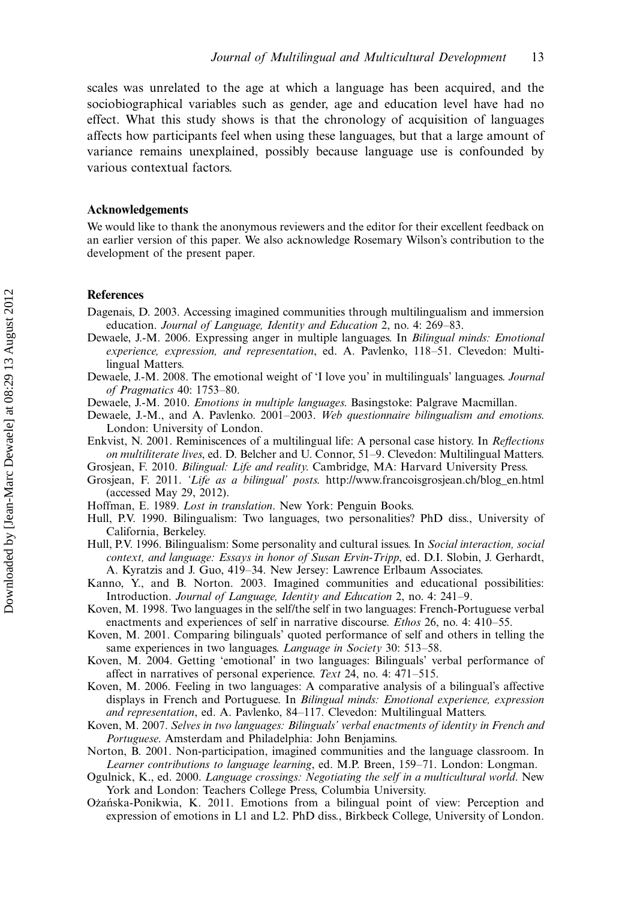scales was unrelated to the age at which a language has been acquired, and the sociobiographical variables such as gender, age and education level have had no effect. What this study shows is that the chronology of acquisition of languages affects how participants feel when using these languages, but that a large amount of variance remains unexplained, possibly because language use is confounded by various contextual factors.

#### Acknowledgements

We would like to thank the anonymous reviewers and the editor for their excellent feedback on an earlier version of this paper. We also acknowledge Rosemary Wilson's contribution to the development of the present paper.

#### References

- Dagenais, D. 2003. Accessing imagined communities through multilingualism and immersion education. Journal of Language, Identity and Education 2, no. 4: 269-83.
- Dewaele, J.-M. 2006. Expressing anger in multiple languages. In Bilingual minds: Emotional experience, expression, and representation, ed. A. Pavlenko, 118-51. Clevedon: Multilingual Matters.
- Dewaele, J.-M. 2008. The emotional weight of 'I love you' in multilinguals' languages. Journal of Pragmatics 40:  $1753-80$ .
- Dewaele, J.-M. 2010. Emotions in multiple languages. Basingstoke: Palgrave Macmillan.
- Dewaele, J.-M., and A. Pavlenko. 2001-2003. Web questionnaire bilingualism and emotions. London: University of London.
- Enkvist, N. 2001. Reminiscences of a multilingual life: A personal case history. In Reflections on multiliterate lives, ed. D. Belcher and U. Connor, 51–9. Clevedon: Multilingual Matters.
- Grosjean, F. 2010. Bilingual: Life and reality. Cambridge, MA: Harvard University Press.
- Grosjean, F. 2011. 'Life as a bilingual' posts. [http://www.francoisgrosjean.ch/blog\\_en.html](http://www.francoisgrosjean.ch/blog_en.html) (accessed May 29, 2012).
- Hoffman, E. 1989. Lost in translation. New York: Penguin Books.
- Hull, P.V. 1990. Bilingualism: Two languages, two personalities? PhD diss., University of California, Berkeley.
- Hull, P.V. 1996. Bilingualism: Some personality and cultural issues. In Social interaction, social context, and language: Essays in honor of Susan Ervin-Tripp, ed. D.I. Slobin, J. Gerhardt, A. Kyratzis and J. Guo, 419-34. New Jersey: Lawrence Erlbaum Associates.
- Kanno, Y., and B. Norton. 2003. Imagined communities and educational possibilities: Introduction. Journal of Language, Identity and Education 2, no. 4: 241–9.
- Koven, M. 1998. Two languages in the self/the self in two languages: French-Portuguese verbal enactments and experiences of self in narrative discourse. *Ethos* 26, no. 4:  $410-55$ .
- Koven, M. 2001. Comparing bilinguals' quoted performance of self and others in telling the same experiences in two languages. Language in Society 30: 513-58.
- Koven, M. 2004. Getting 'emotional' in two languages: Bilinguals' verbal performance of affect in narratives of personal experience. Text 24, no. 4:  $471-515$ .
- Koven, M. 2006. Feeling in two languages: A comparative analysis of a bilingual's affective displays in French and Portuguese. In Bilingual minds: Emotional experience, expression and representation, ed. A. Pavlenko, 84-117. Clevedon: Multilingual Matters.
- Koven, M. 2007. Selves in two languages: Bilinguals' verbal enactments of identity in French and Portuguese. Amsterdam and Philadelphia: John Benjamins.
- Norton, B. 2001. Non-participation, imagined communities and the language classroom. In Learner contributions to language learning, ed. M.P. Breen, 159–71. London: Longman.
- Ogulnick, K., ed. 2000. Language crossings: Negotiating the self in a multicultural world. New York and London: Teachers College Press, Columbia University.
- Ożańska-Ponikwia, K. 2011. Emotions from a bilingual point of view: Perception and expression of emotions in L1 and L2. PhD diss., Birkbeck College, University of London.